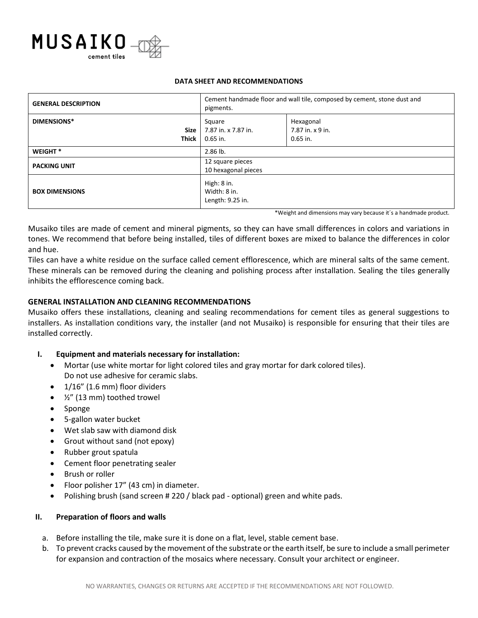

#### **DATA SHEET AND RECOMMENDATIONS**

| <b>GENERAL DESCRIPTION</b>                 | Cement handmade floor and wall tile, composed by cement, stone dust and<br>pigments. |                                             |
|--------------------------------------------|--------------------------------------------------------------------------------------|---------------------------------------------|
| <b>DIMENSIONS*</b><br><b>Size</b><br>Thick | Square<br>7.87 in. x 7.87 in.<br>$0.65$ in.                                          | Hexagonal<br>7.87 in. x 9 in.<br>$0.65$ in. |
| WEIGHT <sup>*</sup>                        | $2.86$ lb.                                                                           |                                             |
| <b>PACKING UNIT</b>                        | 12 square pieces<br>10 hexagonal pieces                                              |                                             |
| <b>BOX DIMENSIONS</b>                      | High: 8 in.<br>Width: 8 in.<br>Length: 9.25 in.                                      |                                             |

\*Weight and dimensions may vary because it´s a handmade product.

Musaiko tiles are made of cement and mineral pigments, so they can have small differences in colors and variations in tones. We recommend that before being installed, tiles of different boxes are mixed to balance the differences in color and hue.

Tiles can have a white residue on the surface called cement efflorescence, which are mineral salts of the same cement. These minerals can be removed during the cleaning and polishing process after installation. Sealing the tiles generally inhibits the efflorescence coming back.

# **GENERAL INSTALLATION AND CLEANING RECOMMENDATIONS**

Musaiko offers these installations, cleaning and sealing recommendations for cement tiles as general suggestions to installers. As installation conditions vary, the installer (and not Musaiko) is responsible for ensuring that their tiles are installed correctly.

## **I. Equipment and materials necessary for installation:**

- Mortar (use white mortar for light colored tiles and gray mortar for dark colored tiles). Do not use adhesive for ceramic slabs.
- 1/16" (1.6 mm) floor dividers
- ½" (13 mm) toothed trowel
- Sponge
- 5-gallon water bucket
- Wet slab saw with diamond disk
- Grout without sand (not epoxy)
- Rubber grout spatula
- Cement floor penetrating sealer
- Brush or roller
- Floor polisher 17" (43 cm) in diameter.
- Polishing brush (sand screen # 220 / black pad optional) green and white pads.

## **II. Preparation of floors and walls**

- a. Before installing the tile, make sure it is done on a flat, level, stable cement base.
- b. To prevent cracks caused by the movement of the substrate or the earth itself, be sure to include a small perimeter for expansion and contraction of the mosaics where necessary. Consult your architect or engineer.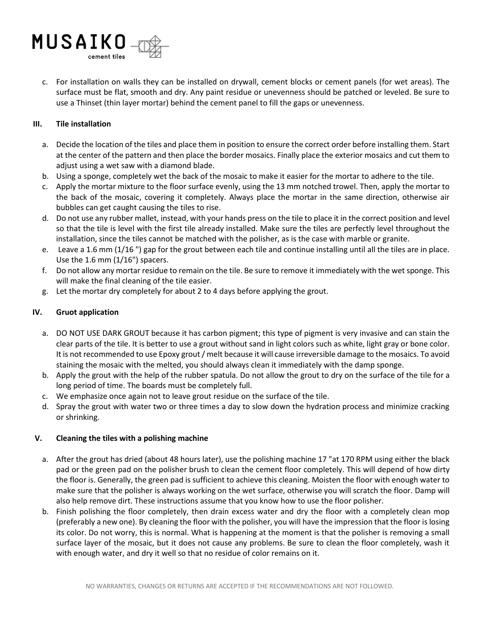

c. For installation on walls they can be installed on drywall, cement blocks or cement panels (for wet areas). The surface must be flat, smooth and dry. Any paint residue or unevenness should be patched or leveled. Be sure to use a Thinset (thin layer mortar) behind the cement panel to fill the gaps or unevenness.

## **III. Tile installation**

- a. Decide the location of the tiles and place them in position to ensure the correct order before installing them. Start at the center of the pattern and then place the border mosaics. Finally place the exterior mosaics and cut them to adjust using a wet saw with a diamond blade.
- b. Using a sponge, completely wet the back of the mosaic to make it easier for the mortar to adhere to the tile.
- c. Apply the mortar mixture to the floor surface evenly, using the 13 mm notched trowel. Then, apply the mortar to the back of the mosaic, covering it completely. Always place the mortar in the same direction, otherwise air bubbles can get caught causing the tiles to rise.
- d. Do not use any rubber mallet, instead, with your hands press on the tile to place it in the correct position and level so that the tile is level with the first tile already installed. Make sure the tiles are perfectly level throughout the installation, since the tiles cannot be matched with the polisher, as is the case with marble or granite.
- e. Leave a 1.6 mm (1/16 ") gap for the grout between each tile and continue installing until all the tiles are in place. Use the 1.6 mm (1/16") spacers.
- f. Do not allow any mortar residue to remain on the tile. Be sure to remove it immediately with the wet sponge. This will make the final cleaning of the tile easier.
- g. Let the mortar dry completely for about 2 to 4 days before applying the grout.

#### **IV. Gruot application**

- a. DO NOT USE DARK GROUT because it has carbon pigment; this type of pigment is very invasive and can stain the clear parts of the tile. It is better to use a grout without sand in light colors such as white, light gray or bone color. It is not recommended to use Epoxy grout / melt because it will cause irreversible damage to the mosaics. To avoid staining the mosaic with the melted, you should always clean it immediately with the damp sponge.
- b. Apply the grout with the help of the rubber spatula. Do not allow the grout to dry on the surface of the tile for a long period of time. The boards must be completely full.
- c. We emphasize once again not to leave grout residue on the surface of the tile.
- d. Spray the grout with water two or three times a day to slow down the hydration process and minimize cracking or shrinking.

## **V. Cleaning the tiles with a polishing machine**

- a. After the grout has dried (about 48 hours later), use the polishing machine 17 "at 170 RPM using either the black pad or the green pad on the polisher brush to clean the cement floor completely. This will depend of how dirty the floor is. Generally, the green pad is sufficient to achieve this cleaning. Moisten the floor with enough water to make sure that the polisher is always working on the wet surface, otherwise you will scratch the floor. Damp will also help remove dirt. These instructions assume that you know how to use the floor polisher.
- b. Finish polishing the floor completely, then drain excess water and dry the floor with a completely clean mop (preferably a new one). By cleaning the floor with the polisher, you will have the impression that the floor is losing its color. Do not worry, this is normal. What is happening at the moment is that the polisher is removing a small surface layer of the mosaic, but it does not cause any problems. Be sure to clean the floor completely, wash it with enough water, and dry it well so that no residue of color remains on it.